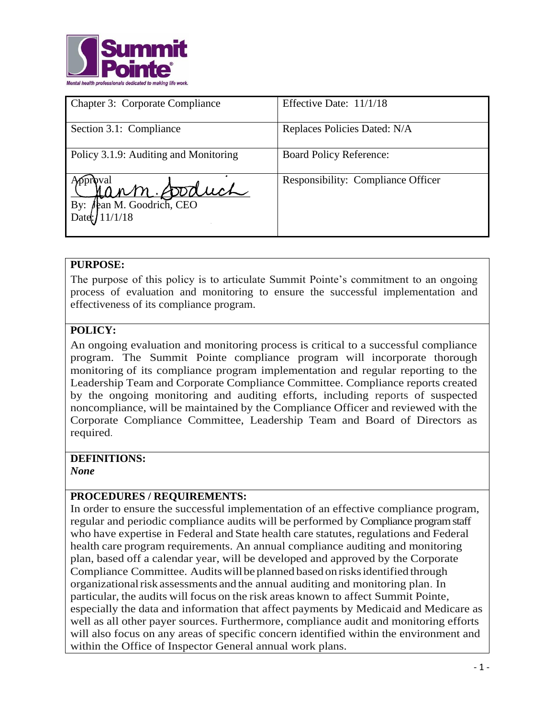

| <b>Chapter 3: Corporate Compliance</b> | Effective Date: 11/1/18                   |
|----------------------------------------|-------------------------------------------|
| Section 3.1: Compliance                | Replaces Policies Dated: N/A              |
| Policy 3.1.9: Auditing and Monitoring  | <b>Board Policy Reference:</b>            |
| Mann Doduch<br>By:<br>Date: $11/1/18$  | <b>Responsibility: Compliance Officer</b> |

#### **PURPOSE:**

The purpose of this policy is to articulate Summit Pointe's commitment to an ongoing process of evaluation and monitoring to ensure the successful implementation and effectiveness of its compliance program.

### **POLICY:**

An ongoing evaluation and monitoring process is critical to a successful compliance program. The Summit Pointe compliance program will incorporate thorough monitoring of its compliance program implementation and regular reporting to the Leadership Team and Corporate Compliance Committee. Compliance reports created by the ongoing monitoring and auditing efforts, including reports of suspected noncompliance, will be maintained by the Compliance Officer and reviewed with the Corporate Compliance Committee, Leadership Team and Board of Directors as required.

# **DEFINITIONS:**

*None*

### **PROCEDURES / REQUIREMENTS:**

In order to ensure the successful implementation of an effective compliance program, regular and periodic compliance audits will be performed by Compliance program staff who have expertise in Federal and State health care statutes, regulations and Federal health care program requirements. An annual compliance auditing and monitoring plan, based off a calendar year, will be developed and approved by the Corporate Compliance Committee. Audits will be planned based on risks identified through organizationalrisk assessments and the annual auditing and monitoring plan. In particular, the audits will focus on the risk areas known to affect Summit Pointe, especially the data and information that affect payments by Medicaid and Medicare as well as all other payer sources. Furthermore, compliance audit and monitoring efforts will also focus on any areas of specific concern identified within the environment and within the Office of Inspector General annual work plans.